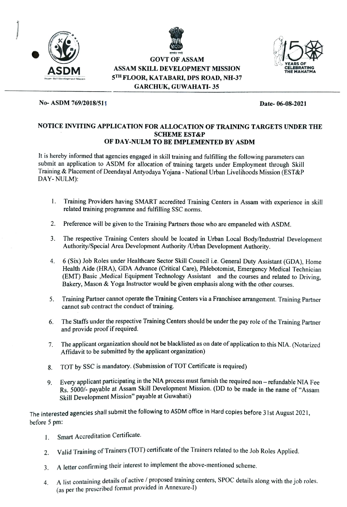

GOVT OF ASSAM<br>LL DEVELOPMENT MISSION ASSAM SKILL DEVELOPMENT MISSION THE MAHATMIC 5TH FLOOR, KATABARI, DPS ROAD, NH-37 GARCHUK, GUWAHATI- 35



### No-ASDM 769/2018/51 Date-06-08-2021

## NOTICE INVITING APPLICATION FOR ALLOCATION OF TRAINING TARGETS UNDER THE SCHEME EST&P OF DAY-NULM TO BE IMPLEMENTED BY ASDM

It is hereby informed that agencies engaged in skill training and fulfilling the following parameters can submit an application to ASDM for allocation of training targets under Employment through Skill Training & Placement of Deendayal Antyodaya Yojana - National Urban Livelihoods Mission (EST&P DAY-NULM):

- 1. Training Providers having SMART acceredited Training Centers in Assam with experience in skill related training programme and fulfilling SSC norms.
- 2. Preference will be given to the Training Partners those who are empaneled with ASDM.
- 3 The respective Training Centers should be located in Urban Local Body/Industrial Development Authority/Special Area Development Authority /Urban Development Authority.
- 4 6 (Six) Job Roles under Healthcare Sector Skill Council i.e. General Duty Assistant (GDA), Home Health Aide (HRA), GDA Advance (Critical Care), Phlebotomist, Emergency Medical Technician (EMT) Basic ,Medical Equipment Technology Assistant and the courses and related to Driving, Bakery, Mason & Yoga Instructor would be given emphasis along with the other courses.
- 5. Training Partner cannot operate the Training Centers via a Franchisee arrangement. Training Partner cannot sub contract the conduct of training.
- 6. The Staffs under the respective Training Centers should be under the pay role of the Training Partner and provide proof if required.
- 7. The applicant organization should not be blacklisted as on date of application to this NIA. (Notarized Affidavit to be submitted by the applicant organization)
- 8. TOT by sSC is mandatory. (Submission of TOT Certificate is required)
- 9. Every applicant participating in the NIA process must furnish the required non refundable NIA Fee Rs. 5000/- payable at Assam Skill Development Mission. (DD to be made in the name of "Assam" Skill Development Mission" payable at Guwahati)

The interested agencies shall submit the following to ASDM office in Hard copies before 31st August 2021, before 5 pm:

- 1. Smart Accreditation Certificate.
- 2. Valid Training of Trainers (TOT) certificate of the Trainers related to the Job Roles Applied.
- 3. A letter confirming their interest to implement the above-mentioned scheme.
- A list containing details of active/ proposed training centers, SPOC details along with the job roles. 4. (as per the prescribed format provided in Annexure-1)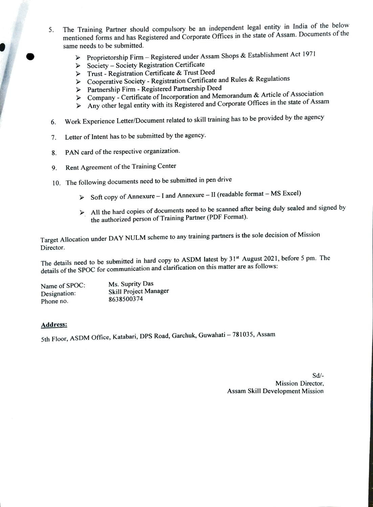- The Training Partner should compulsory be an independent legal entity in India of the below mentioned forms and has Registered and Corporate Offices in the state of Assam. Documents of the same needs to be submitted. 5.
	- Proprietorship Firm Registered under Assam Shops & Establishment Act 1971
	- $\triangleright$  Society Society Registration Certificate
	- $\triangleright$  Trust Registration Certificate & Trust Deed
	- Cooperative Society Registration Certificate and Rules & Regulations
	- > Partnership Firm Registered Partnership Deed
	- ► Partnership Firm Registered Partnership Deed<br>► Company Certificate of Incorporation and Memorandum & Article of Association
	- $\triangleright$  Any other legal entity with its Registered and Corporate Offices in the state of Assam
- Work Experience Letter/Document related to skill training has to be provided by the agency 6.
- 7. Letter of Intent has to be submitted by the agency.
- 8. PAN card of the respective organization.
- 9. Rent Agreement of the Training Center
- 10. The following documents need to be submitted in pen drive
	- $\triangleright$  Soft copy of Annexure I and Annexure II (readable format MS Excel)
	- $\triangleright$  All the hard copies of documents need to be scanned after being duly sealed and signed by the authorized person of Training Partner (PDF Format).

Target Allocation under DAY NULM scheme to any training partners is the sole decision of Mission Director.

The details need to be submitted in hard copy to ASDM latest by 31<sup>st</sup> August 2021, before 5 pm. The details of the SPOC for communication and clarification on this matter are as follows:

Ms. Suprity Das Skill Project Manager 8638500374 Name of SPOC: Designation: Phone no.

### Address:

5th Floor, ASDM Office, Katabari, DPS Road, Garchuk, Guwahati - 781035, Assam

Sd/- Mission Director, Assam Skill Development Mission